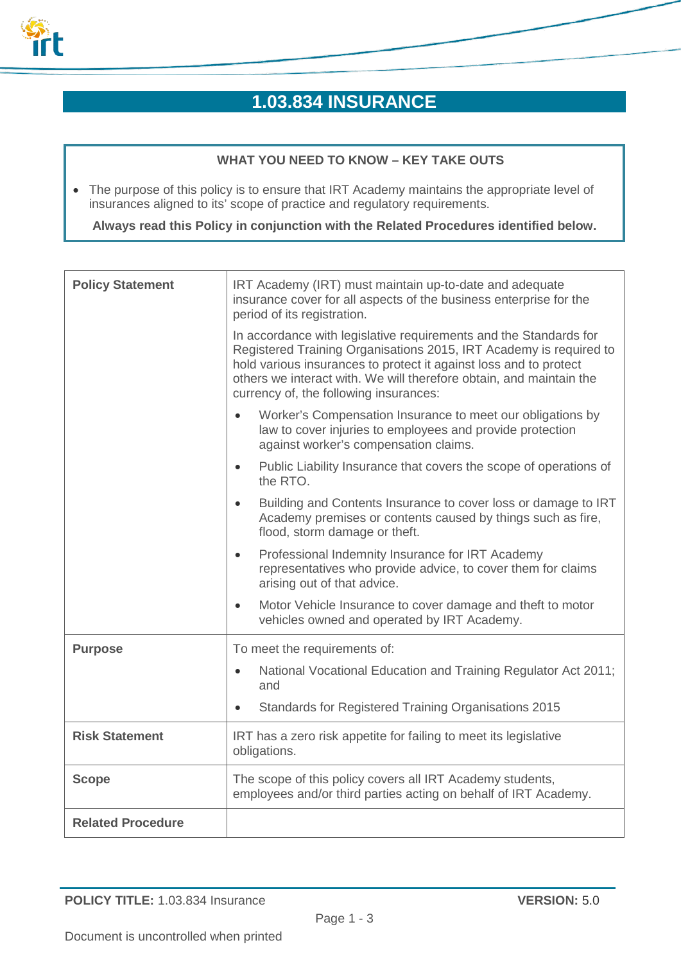

# **1.03.834 INSURANCE**

# **WHAT YOU NEED TO KNOW – KEY TAKE OUTS**

• The purpose of this policy is to ensure that IRT Academy maintains the appropriate level of insurances aligned to its' scope of practice and regulatory requirements.

**Always read this Policy in conjunction with the Related Procedures identified below.**

| <b>Policy Statement</b>  | IRT Academy (IRT) must maintain up-to-date and adequate<br>insurance cover for all aspects of the business enterprise for the<br>period of its registration.                                                                                                                                                                  |
|--------------------------|-------------------------------------------------------------------------------------------------------------------------------------------------------------------------------------------------------------------------------------------------------------------------------------------------------------------------------|
|                          | In accordance with legislative requirements and the Standards for<br>Registered Training Organisations 2015, IRT Academy is required to<br>hold various insurances to protect it against loss and to protect<br>others we interact with. We will therefore obtain, and maintain the<br>currency of, the following insurances: |
|                          | Worker's Compensation Insurance to meet our obligations by<br>law to cover injuries to employees and provide protection<br>against worker's compensation claims.                                                                                                                                                              |
|                          | Public Liability Insurance that covers the scope of operations of<br>$\bullet$<br>the RTO.                                                                                                                                                                                                                                    |
|                          | Building and Contents Insurance to cover loss or damage to IRT<br>Academy premises or contents caused by things such as fire,<br>flood, storm damage or theft.                                                                                                                                                                |
|                          | Professional Indemnity Insurance for IRT Academy<br>$\bullet$<br>representatives who provide advice, to cover them for claims<br>arising out of that advice.                                                                                                                                                                  |
|                          | Motor Vehicle Insurance to cover damage and theft to motor<br>$\bullet$<br>vehicles owned and operated by IRT Academy.                                                                                                                                                                                                        |
| <b>Purpose</b>           | To meet the requirements of:                                                                                                                                                                                                                                                                                                  |
|                          | National Vocational Education and Training Regulator Act 2011;<br>$\bullet$<br>and                                                                                                                                                                                                                                            |
|                          | Standards for Registered Training Organisations 2015                                                                                                                                                                                                                                                                          |
| <b>Risk Statement</b>    | IRT has a zero risk appetite for failing to meet its legislative<br>obligations.                                                                                                                                                                                                                                              |
| <b>Scope</b>             | The scope of this policy covers all IRT Academy students,<br>employees and/or third parties acting on behalf of IRT Academy.                                                                                                                                                                                                  |
| <b>Related Procedure</b> |                                                                                                                                                                                                                                                                                                                               |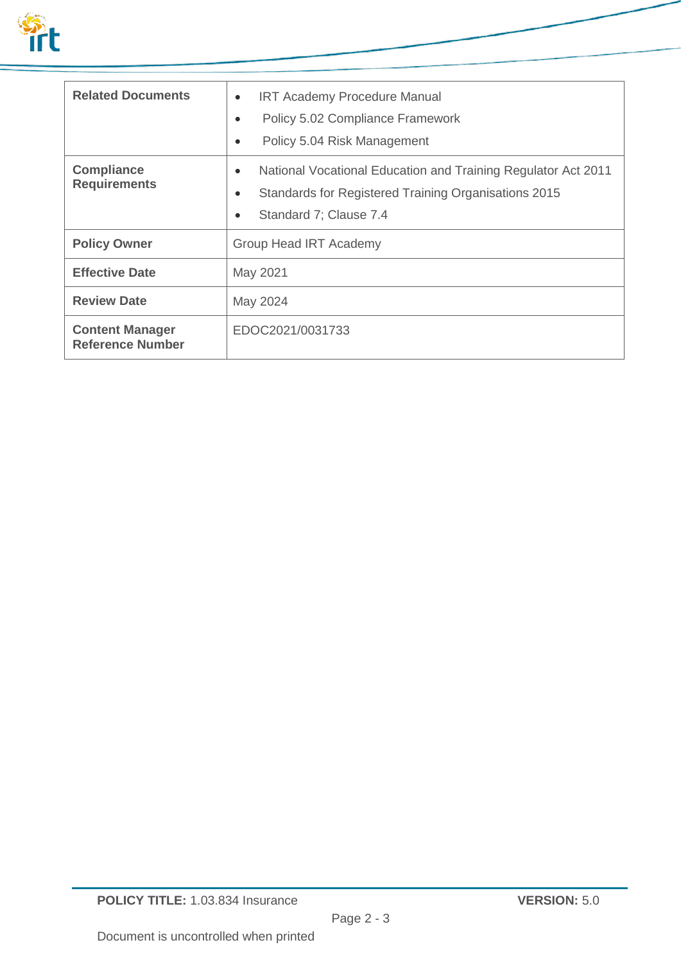

| <b>Related Documents</b>                          | <b>IRT Academy Procedure Manual</b><br>$\bullet$<br>Policy 5.02 Compliance Framework<br>Policy 5.04 Risk Management                                  |
|---------------------------------------------------|------------------------------------------------------------------------------------------------------------------------------------------------------|
| <b>Compliance</b><br><b>Requirements</b>          | National Vocational Education and Training Regulator Act 2011<br>٠<br>Standards for Registered Training Organisations 2015<br>Standard 7; Clause 7.4 |
| <b>Policy Owner</b>                               | Group Head IRT Academy                                                                                                                               |
| <b>Effective Date</b>                             | May 2021                                                                                                                                             |
| <b>Review Date</b>                                | May 2024                                                                                                                                             |
| <b>Content Manager</b><br><b>Reference Number</b> | EDOC2021/0031733                                                                                                                                     |